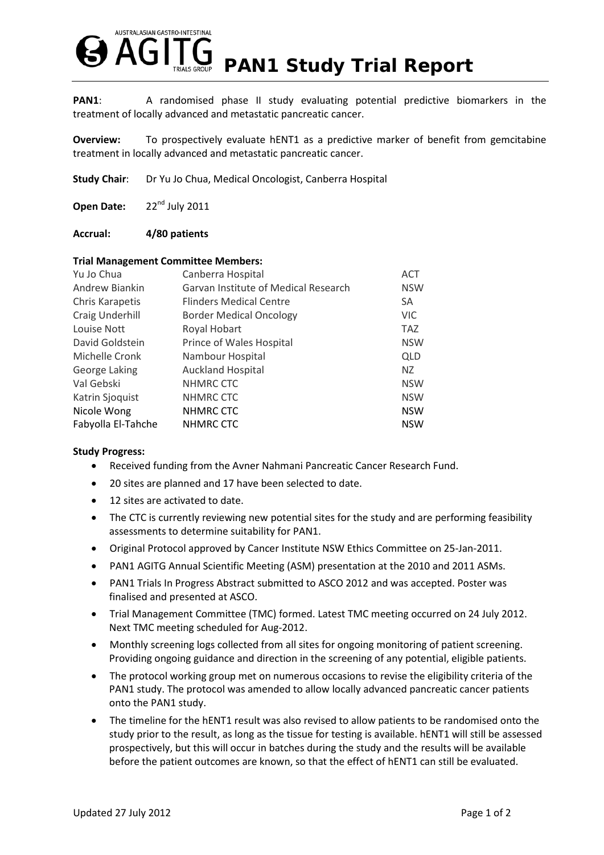

**PAN1:** A randomised phase II study evaluating potential predictive biomarkers in the treatment of locally advanced and metastatic pancreatic cancer.

**Overview:** To prospectively evaluate hENT1 as a predictive marker of benefit from gemcitabine treatment in locally advanced and metastatic pancreatic cancer.

**Study Chair:** Dr Yu Jo Chua, Medical Oncologist, Canberra Hospital

Open Date: 22<sup>nd</sup> July 2011

## **Accrual: 4/80 patients**

### **Trial Management Committee Members:**

| Yu Jo Chua         | Canberra Hospital                    | <b>ACT</b> |
|--------------------|--------------------------------------|------------|
| Andrew Biankin     | Garvan Institute of Medical Research | <b>NSW</b> |
| Chris Karapetis    | <b>Flinders Medical Centre</b>       | <b>SA</b>  |
| Craig Underhill    | <b>Border Medical Oncology</b>       | <b>VIC</b> |
| Louise Nott        | Royal Hobart                         | <b>TAZ</b> |
| David Goldstein    | Prince of Wales Hospital             | <b>NSW</b> |
| Michelle Cronk     | Nambour Hospital                     | <b>QLD</b> |
| George Laking      | <b>Auckland Hospital</b>             | NZ.        |
| Val Gebski         | NHMRC CTC                            | <b>NSW</b> |
| Katrin Sjoquist    | NHMRC CTC                            | <b>NSW</b> |
| Nicole Wong        | NHMRC CTC                            | <b>NSW</b> |
| Fabyolla El-Tahche | NHMRC CTC                            | <b>NSW</b> |

## **Study Progress:**

- Received funding from the Avner Nahmani Pancreatic Cancer Research Fund.
- 20 sites are planned and 17 have been selected to date.
- 12 sites are activated to date.
- The CTC is currently reviewing new potential sites for the study and are performing feasibility assessments to determine suitability for PAN1.
- Original Protocol approved by Cancer Institute NSW Ethics Committee on 25-Jan-2011.
- PAN1 AGITG Annual Scientific Meeting (ASM) presentation at the 2010 and 2011 ASMs.
- PAN1 Trials In Progress Abstract submitted to ASCO 2012 and was accepted. Poster was finalised and presented at ASCO.
- Trial Management Committee (TMC) formed. Latest TMC meeting occurred on 24 July 2012. Next TMC meeting scheduled for Aug-2012.
- Monthly screening logs collected from all sites for ongoing monitoring of patient screening. Providing ongoing guidance and direction in the screening of any potential, eligible patients.
- The protocol working group met on numerous occasions to revise the eligibility criteria of the PAN1 study. The protocol was amended to allow locally advanced pancreatic cancer patients onto the PAN1 study.
- The timeline for the hENT1 result was also revised to allow patients to be randomised onto the study prior to the result, as long as the tissue for testing is available. hENT1 will still be assessed prospectively, but this will occur in batches during the study and the results will be available before the patient outcomes are known, so that the effect of hENT1 can still be evaluated.